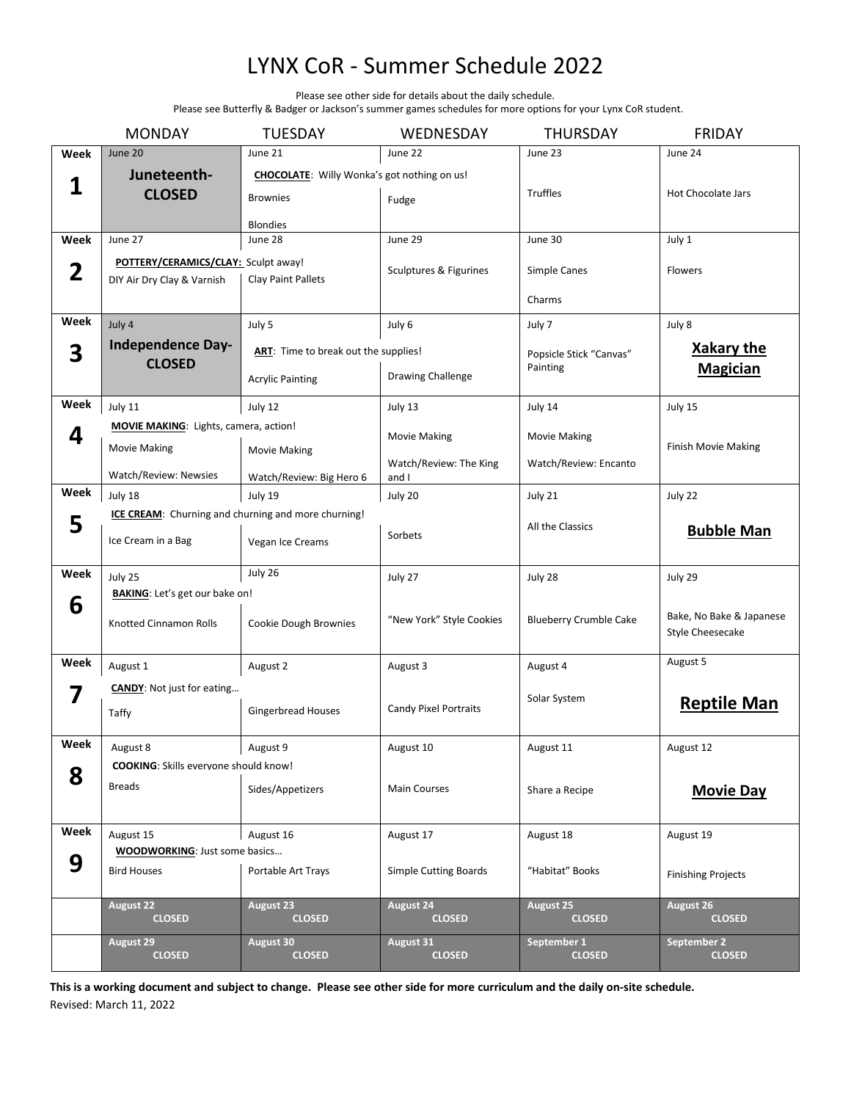## LYNX CoR - Summer Schedule 2022

Please see other side for details about the daily schedule.

Please see Butterfly & Badger or Jackson's summer games schedules for more options for your Lynx CoR student.

|              | <b>MONDAY</b>                                | <b>TUESDAY</b>                                      | WEDNESDAY                       | <b>THURSDAY</b>                     | <b>FRIDAY</b>                |
|--------------|----------------------------------------------|-----------------------------------------------------|---------------------------------|-------------------------------------|------------------------------|
| Week         | June 20                                      | June 21                                             | June 22                         | June 23                             | June 24                      |
|              | Juneteenth-                                  | CHOCOLATE: Willy Wonka's got nothing on us!         |                                 |                                     |                              |
| 1            | <b>CLOSED</b>                                | <b>Brownies</b>                                     | Fudge                           | <b>Truffles</b>                     | Hot Chocolate Jars           |
|              |                                              | <b>Blondies</b>                                     |                                 |                                     |                              |
| Week         | June 27                                      | June 28                                             | June 29                         | June 30                             | July 1                       |
|              | POTTERY/CERAMICS/CLAY: Sculpt away!          |                                                     |                                 |                                     |                              |
| $\mathbf{2}$ | DIY Air Dry Clay & Varnish                   | <b>Clay Paint Pallets</b>                           | Sculptures & Figurines          | Simple Canes                        | <b>Flowers</b>               |
|              |                                              |                                                     |                                 | Charms                              |                              |
| Week         | July 4                                       | July 5                                              | July 6                          | July 7                              | July 8                       |
| 3            | <b>Independence Day-</b>                     | ART: Time to break out the supplies!                |                                 | Popsicle Stick "Canvas"<br>Painting | <b>Xakary the</b>            |
|              | <b>CLOSED</b>                                |                                                     |                                 |                                     | <b>Magician</b>              |
|              |                                              | <b>Acrylic Painting</b>                             | <b>Drawing Challenge</b>        |                                     |                              |
| Week         | July 11                                      | July 12                                             | July 13                         | July 14                             | July 15                      |
| 4            | <b>MOVIE MAKING:</b> Lights, camera, action! |                                                     | <b>Movie Making</b>             | <b>Movie Making</b>                 | <b>Finish Movie Making</b>   |
|              | <b>Movie Making</b>                          | <b>Movie Making</b>                                 |                                 |                                     |                              |
|              | Watch/Review: Newsies                        | Watch/Review: Big Hero 6                            | Watch/Review: The King<br>and I | Watch/Review: Encanto               |                              |
| Week         | July 18                                      | July 19                                             | July 20                         | July 21                             | July 22                      |
|              |                                              | ICE CREAM: Churning and churning and more churning! |                                 |                                     |                              |
| 5            |                                              |                                                     | Sorbets                         | All the Classics                    | <b>Bubble Man</b>            |
|              | Ice Cream in a Bag                           | Vegan Ice Creams                                    |                                 |                                     |                              |
| Week         | July 25                                      | July 26                                             | July 27                         | July 28                             | July 29                      |
|              | <b>BAKING</b> : Let's get our bake on!       |                                                     |                                 |                                     |                              |
| 6            | Knotted Cinnamon Rolls                       |                                                     | "New York" Style Cookies        | <b>Blueberry Crumble Cake</b>       | Bake, No Bake & Japanese     |
|              |                                              | Cookie Dough Brownies                               |                                 |                                     | Style Cheesecake             |
| Week         | August 1                                     | August 2                                            | August 3                        | August 4                            | August 5                     |
|              | <b>CANDY:</b> Not just for eating            |                                                     |                                 |                                     |                              |
| 7            |                                              |                                                     | Candy Pixel Portraits           | Solar System                        | <b>Reptile Man</b>           |
|              | Taffy                                        | <b>Gingerbread Houses</b>                           |                                 |                                     |                              |
| Week         | August 8                                     | August 9                                            | August 10                       | August 11                           | August 12                    |
|              | <b>COOKING:</b> Skills everyone should know! |                                                     |                                 |                                     |                              |
| 8            | <b>Breads</b>                                | Sides/Appetizers                                    | <b>Main Courses</b>             | Share a Recipe                      | <b>Movie Day</b>             |
|              |                                              |                                                     |                                 |                                     |                              |
| Week         | August 15                                    | August 16                                           | August 17                       | August 18                           | August 19                    |
|              | <b>WOODWORKING: Just some basics</b>         |                                                     |                                 |                                     |                              |
| 9            | <b>Bird Houses</b>                           | Portable Art Trays                                  | <b>Simple Cutting Boards</b>    | "Habitat" Books                     | <b>Finishing Projects</b>    |
|              |                                              |                                                     |                                 |                                     |                              |
|              | <b>August 22</b><br><b>CLOSED</b>            | August 23<br><b>CLOSED</b>                          | August 24<br><b>CLOSED</b>      | August 25<br><b>CLOSED</b>          | August 26<br><b>CLOSED</b>   |
|              |                                              |                                                     | August 31                       | September <sub>1</sub>              |                              |
|              | <b>August 29</b><br><b>CLOSED</b>            | August 30<br><b>CLOSED</b>                          | <b>CLOSED</b>                   | <b>CLOSED</b>                       | September 2<br><b>CLOSED</b> |
|              |                                              |                                                     |                                 |                                     |                              |

**This is a working document and subject to change. Please see other side for more curriculum and the daily on-site schedule.**  Revised: March 11, 2022